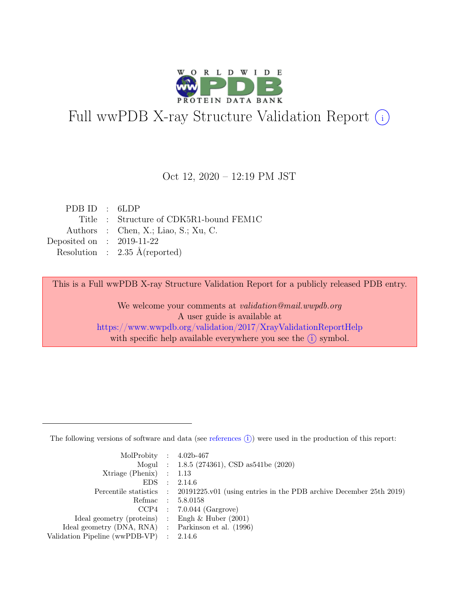

# Full wwPDB X-ray Structure Validation Report  $(i)$

#### Oct 12, 2020 – 12:19 PM JST

| PDB ID : $6LDP$             |                                          |
|-----------------------------|------------------------------------------|
|                             | Title : Structure of CDK5R1-bound FEM1C  |
|                             | Authors : Chen, X.; Liao, S.; Xu, C.     |
| Deposited on : $2019-11-22$ |                                          |
|                             | Resolution : $2.35 \text{ Å}$ (reported) |
|                             |                                          |

This is a Full wwPDB X-ray Structure Validation Report for a publicly released PDB entry.

We welcome your comments at validation@mail.wwpdb.org A user guide is available at <https://www.wwpdb.org/validation/2017/XrayValidationReportHelp> with specific help available everywhere you see the  $(i)$  symbol.

The following versions of software and data (see [references](https://www.wwpdb.org/validation/2017/XrayValidationReportHelp#references)  $(i)$ ) were used in the production of this report:

| MolProbity : $4.02b-467$                            |                                                                                            |
|-----------------------------------------------------|--------------------------------------------------------------------------------------------|
|                                                     | Mogul : $1.8.5$ (274361), CSD as 541be (2020)                                              |
| $Xtriangle (Phenix)$ : 1.13                         |                                                                                            |
|                                                     | EDS : 2.14.6                                                                               |
|                                                     | Percentile statistics : 20191225.v01 (using entries in the PDB archive December 25th 2019) |
| Refmac : 5.8.0158                                   |                                                                                            |
|                                                     | $CCP4$ : 7.0.044 (Gargrove)                                                                |
| Ideal geometry (proteins) : Engh $\&$ Huber (2001)  |                                                                                            |
| Ideal geometry (DNA, RNA) : Parkinson et al. (1996) |                                                                                            |
| Validation Pipeline (wwPDB-VP) : $2.14.6$           |                                                                                            |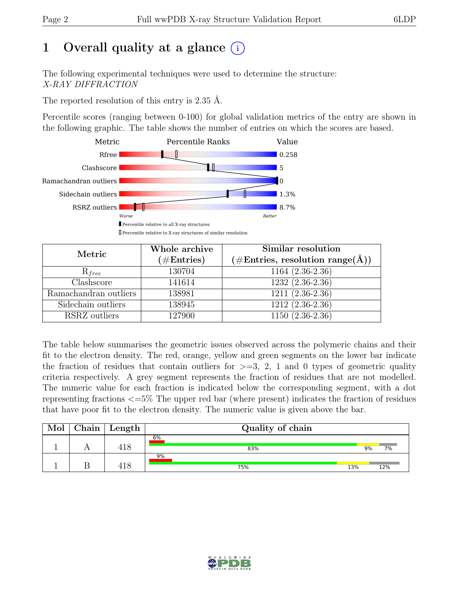### 1 Overall quality at a glance  $(i)$

The following experimental techniques were used to determine the structure: X-RAY DIFFRACTION

The reported resolution of this entry is 2.35 Å.

Percentile scores (ranging between 0-100) for global validation metrics of the entry are shown in the following graphic. The table shows the number of entries on which the scores are based.



| Metric                    | Whole archive<br>$(\#\text{Entries})$ | Similar resolution<br>$(\#\text{Entries}, \, \text{resolution range}(\textup{\AA}))$ |
|---------------------------|---------------------------------------|--------------------------------------------------------------------------------------|
| $R_{free}$                | 130704                                | $1164(2.36-2.36)$                                                                    |
| $\overline{\text{Class}}$ | 141614                                | $1232(2.36-2.36)$                                                                    |
| Ramachandran outliers     | 138981                                | $1211(2.36-2.36)$                                                                    |
| Sidechain outliers        | 138945                                | 1212 (2.36-2.36)                                                                     |
| RSRZ outliers             | 127900                                | $1150(2.36-2.36)$                                                                    |

The table below summarises the geometric issues observed across the polymeric chains and their fit to the electron density. The red, orange, yellow and green segments on the lower bar indicate the fraction of residues that contain outliers for  $>=$  3, 2, 1 and 0 types of geometric quality criteria respectively. A grey segment represents the fraction of residues that are not modelled. The numeric value for each fraction is indicated below the corresponding segment, with a dot representing fractions <=5% The upper red bar (where present) indicates the fraction of residues that have poor fit to the electron density. The numeric value is given above the bar.

| Mol | Chain | Length | Quality of chain |     |     |
|-----|-------|--------|------------------|-----|-----|
|     |       | 418    | 6%<br>83%        | 9%  | 7%  |
|     |       |        | 9%<br>75%        | 13% | 12% |

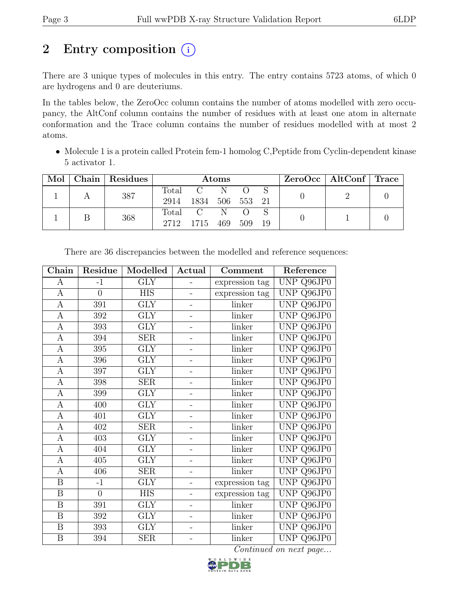## 2 Entry composition  $(i)$

There are 3 unique types of molecules in this entry. The entry contains 5723 atoms, of which 0 are hydrogens and 0 are deuteriums.

In the tables below, the ZeroOcc column contains the number of atoms modelled with zero occupancy, the AltConf column contains the number of residues with at least one atom in alternate conformation and the Trace column contains the number of residues modelled with at most 2 atoms.

• Molecule 1 is a protein called Protein fem-1 homolog C,Peptide from Cyclin-dependent kinase 5 activator 1.

| Mol | Chain Residues | Atoms         |                            |  |                    | $\text{ZeroOcc}$   AltConf   Trace |  |  |
|-----|----------------|---------------|----------------------------|--|--------------------|------------------------------------|--|--|
|     | 387            | Total<br>2914 | $C \tN$<br>1834 506 553 21 |  |                    |                                    |  |  |
|     | 368            |               | Total C N<br>2712 1715 469 |  | $\bigcap$<br>- 509 | - 19                               |  |  |

| $Chain$                 | Residue          | Modelled                | Actual                   | Comment        | Reference  |
|-------------------------|------------------|-------------------------|--------------------------|----------------|------------|
| $\mathbf{A}$            | $-1$             | $\overline{\text{GLY}}$ |                          | expression tag | UNP Q96JP0 |
| $\mathbf{A}$            | $\overline{0}$   | <b>HIS</b>              | -                        | expression tag | UNP Q96JP0 |
| $\mathbf{A}$            | 391              | <b>GLY</b>              | -                        | linker         | UNP Q96JP0 |
| $\overline{A}$          | 392              | $\overline{\text{GLY}}$ | -                        | linker         | UNP Q96JP0 |
| $\mathbf{A}$            | 393              | $\overline{\text{GLY}}$ | -                        | linker         | UNP Q96JP0 |
| $\overline{A}$          | 394              | SER                     | -                        | linker         | UNP Q96JP0 |
| $\mathbf{A}$            | 395              | <b>GLY</b>              | $\overline{\phantom{0}}$ | linker         | UNP Q96JP0 |
| $\bf{A}$                | 396              | <b>GLY</b>              | -                        | linker         | UNP Q96JP0 |
| $\mathbf{A}$            | 397              | <b>GLY</b>              | -                        | linker         | UNP Q96JP0 |
| $\mathbf{A}$            | 398              | <b>SER</b>              | -                        | linker         | UNP Q96JP0 |
| $\overline{A}$          | 399              | $\overline{\text{GLY}}$ | $\overline{\phantom{0}}$ | linker         | UNP Q96JP0 |
| $\mathbf{A}$            | 400              | <b>GLY</b>              | $\overline{\phantom{0}}$ | linker         | UNP Q96JP0 |
| $\overline{A}$          | 401              | $\overline{\text{GLY}}$ | $\overline{\phantom{0}}$ | linker         | UNP Q96JP0 |
| $\mathbf{A}$            | 402              | <b>SER</b>              | -                        | linker         | UNP Q96JP0 |
| $\mathbf{A}$            | 403              | <b>GLY</b>              | -                        | linker         | UNP Q96JP0 |
| $\boldsymbol{A}$        | 404              | $\overline{\text{GLY}}$ | -                        | linker         | UNP Q96JP0 |
| $\boldsymbol{A}$        | 405              | <b>GLY</b>              | -                        | linker         | UNP Q96JP0 |
| $\mathbf{A}$            | 406              | <b>SER</b>              | -                        | linker         | UNP Q96JP0 |
| $\boldsymbol{B}$        | $-1$             | <b>GLY</b>              |                          | expression tag | UNP Q96JP0 |
| $\overline{B}$          | $\overline{0}$   | <b>HIS</b>              | $\overline{\phantom{0}}$ | expression tag | UNP Q96JP0 |
| $\overline{B}$          | 391              | $\overline{\text{GLY}}$ |                          | linker         | UNP Q96JP0 |
| $\overline{B}$          | 392              | $\overline{\text{GLY}}$ | $\overline{a}$           | linker         | UNP Q96JP0 |
| $\overline{\mathbf{B}}$ | $\overline{393}$ | $\overline{\text{GLY}}$ | $\overline{a}$           | linker         | UNP Q96JP0 |
| $\boldsymbol{B}$        | 394              | <b>SER</b>              |                          | linker         | UNP Q96JP0 |

There are 36 discrepancies between the modelled and reference sequences:

Continued on next page...

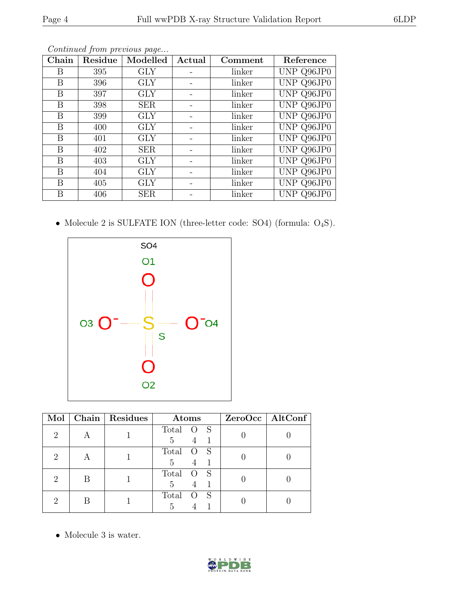| Chain | Residue | Modelled   | Actual | Comment | Reference  |
|-------|---------|------------|--------|---------|------------|
| Β     | 395     | <b>GLY</b> |        | linker  | UNP Q96JP0 |
| Β     | 396     | <b>GLY</b> |        | linker  | UNP Q96JP0 |
| Β     | 397     | <b>GLY</b> |        | linker  | UNP Q96JP0 |
| В     | 398     | <b>SER</b> |        | linker  | UNP Q96JP0 |
| Β     | 399     | GLY        |        | linker  | UNP Q96JP0 |
| Β     | 400     | <b>GLY</b> |        | linker  | UNP Q96JP0 |
| Β     | 401     | <b>GLY</b> |        | linker  | UNP Q96JP0 |
| Β     | 402     | <b>SER</b> |        | linker  | UNP Q96JP0 |
| Β     | 403     | <b>GLY</b> |        | linker  | UNP Q96JP0 |
| B     | 404     | GLY        |        | linker  | UNP Q96JP0 |
| Β     | 405     | <b>GLY</b> |        | linker  | UNP Q96JP0 |
| Β     | 406     | <b>SER</b> |        | linker  | UNP Q96JP0 |

Continued from previous page...

 $\bullet$  Molecule 2 is SULFATE ION (three-letter code: SO4) (formula:  $\mathrm{O}_4\mathrm{S}).$ 



| Mol |   | Chain   Residues | Atoms                          | ZeroOcc   AltConf |
|-----|---|------------------|--------------------------------|-------------------|
|     |   |                  | Total<br>- S<br>$\theta$<br>5  |                   |
| ٠,  |   |                  | Total<br>5                     |                   |
| ٠,  | B |                  | Total<br>$\left( \right)$<br>5 |                   |
|     |   |                  | Total<br>h.                    |                   |

 $\bullet\,$  Molecule 3 is water.

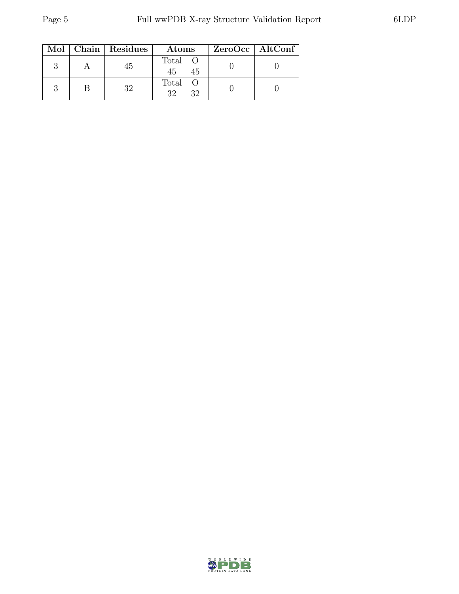|  | Mol   Chain   Residues | Atoms               | $ZeroOcc \   \$ AltConf |
|--|------------------------|---------------------|-------------------------|
|  | 45                     | Total O<br>45<br>45 |                         |
|  | 39.                    | Total O<br>32<br>39 |                         |

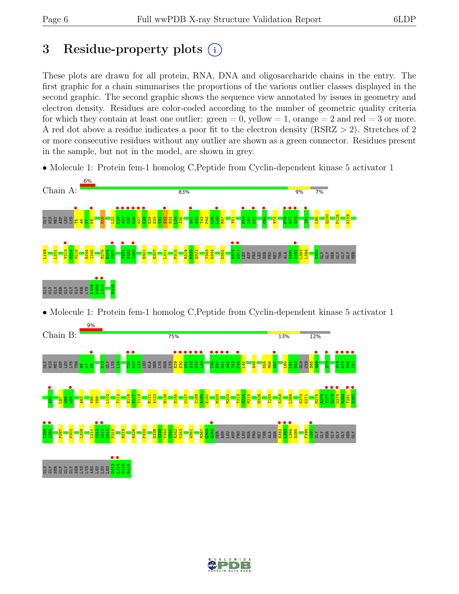### 3 Residue-property plots  $(i)$

These plots are drawn for all protein, RNA, DNA and oligosaccharide chains in the entry. The first graphic for a chain summarises the proportions of the various outlier classes displayed in the second graphic. The second graphic shows the sequence view annotated by issues in geometry and electron density. Residues are color-coded according to the number of geometric quality criteria for which they contain at least one outlier:  $green = 0$ , yellow  $= 1$ , orange  $= 2$  and red  $= 3$  or more. A red dot above a residue indicates a poor fit to the electron density (RSRZ > 2). Stretches of 2 or more consecutive residues without any outlier are shown as a green connector. Residues present in the sample, but not in the model, are shown in grey.

• Molecule 1: Protein fem-1 homolog C, Peptide from Cyclin-dependent kinase 5 activator 1



• Molecule 1: Protein fem-1 homolog C, Peptide from Cyclin-dependent kinase 5 activator 1



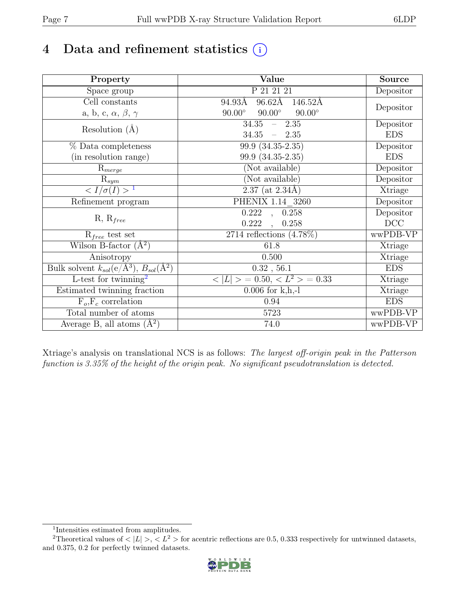### 4 Data and refinement statistics  $(i)$

| Property                                                             | Value                                           | Source     |
|----------------------------------------------------------------------|-------------------------------------------------|------------|
| Space group                                                          | P 21 21 21                                      | Depositor  |
| Cell constants                                                       | $96.62\text{\AA}$<br>94.93Å<br>146.52Å          |            |
| a, b, c, $\alpha$ , $\beta$ , $\gamma$                               | $90.00^\circ$<br>$90.00^\circ$<br>$90.00^\circ$ | Depositor  |
| Resolution $(A)$                                                     | 34.35<br>$-2.35$                                | Depositor  |
|                                                                      | 34.35<br>$-2.35$                                | <b>EDS</b> |
| % Data completeness                                                  | $\overline{99.9} \ (34.35-2.35)$                | Depositor  |
| (in resolution range)                                                | 99.9 (34.35-2.35)                               | <b>EDS</b> |
| $R_{merge}$                                                          | (Not available)                                 | Depositor  |
| $\mathrm{R}_{sym}$                                                   | (Not available)                                 | Depositor  |
| $\sqrt{I/\sigma(I)} > 1$                                             | $2.37$ (at 2.34Å)                               | Xtriage    |
| Refinement program                                                   | PHENIX 1.14 3260                                | Depositor  |
|                                                                      | $\overline{0.222}$ ,<br>0.258                   | Depositor  |
| $R, R_{free}$                                                        | 0.222<br>0.258                                  | DCC        |
| $R_{free}$ test set                                                  | 2714 reflections $(4.78\%)$                     | wwPDB-VP   |
| Wilson B-factor $(A^2)$                                              | 61.8                                            | Xtriage    |
| Anisotropy                                                           | 0.500                                           | Xtriage    |
| Bulk solvent $k_{sol}(e/\mathring{A}^3)$ , $B_{sol}(\mathring{A}^2)$ | 0.32, 56.1                                      | <b>EDS</b> |
| L-test for twinning <sup>2</sup>                                     | $< L >$ = 0.50, $< L2$ > = 0.33                 | Xtriage    |
| Estimated twinning fraction                                          | $0.006$ for $k, h, -l$                          | Xtriage    |
| $F_o, F_c$ correlation                                               | 0.94                                            | <b>EDS</b> |
| Total number of atoms                                                | 5723                                            | wwPDB-VP   |
| Average B, all atoms $(A^2)$                                         | 74.0                                            | wwPDB-VP   |

Xtriage's analysis on translational NCS is as follows: The largest off-origin peak in the Patterson function is 3.35% of the height of the origin peak. No significant pseudotranslation is detected.

<sup>&</sup>lt;sup>2</sup>Theoretical values of  $\langle |L| \rangle$ ,  $\langle L^2 \rangle$  for acentric reflections are 0.5, 0.333 respectively for untwinned datasets, and 0.375, 0.2 for perfectly twinned datasets.



<span id="page-6-1"></span><span id="page-6-0"></span><sup>1</sup> Intensities estimated from amplitudes.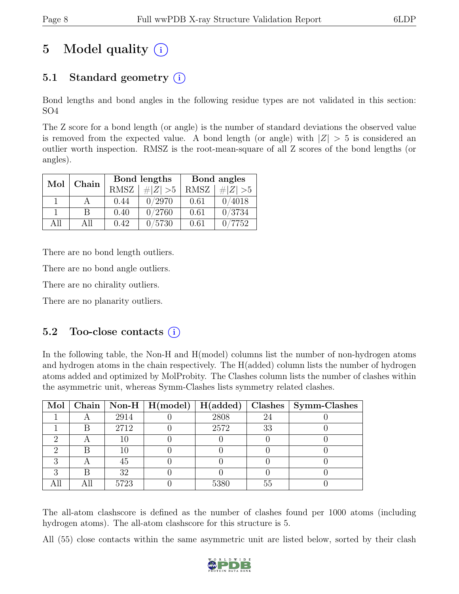## 5 Model quality  $(i)$

### 5.1 Standard geometry (i)

Bond lengths and bond angles in the following residue types are not validated in this section: SO4

The Z score for a bond length (or angle) is the number of standard deviations the observed value is removed from the expected value. A bond length (or angle) with  $|Z| > 5$  is considered an outlier worth inspection. RMSZ is the root-mean-square of all Z scores of the bond lengths (or angles).

| Chain<br>Mol |     |             | Bond lengths | Bond angles |             |  |
|--------------|-----|-------------|--------------|-------------|-------------|--|
|              |     | <b>RMSZ</b> | $\# Z  > 5$  | <b>RMSZ</b> | # $ Z  > 5$ |  |
|              |     | 0.44        | 0/2970       | 0.61        | 0/4018      |  |
|              | В   | 0.40        | 0/2760       | 0.61        | 0/3734      |  |
| All          | All | 0.42        | 0/5730       | 0.61        | 7752        |  |

There are no bond length outliers.

There are no bond angle outliers.

There are no chirality outliers.

There are no planarity outliers.

#### 5.2 Too-close contacts  $(i)$

In the following table, the Non-H and H(model) columns list the number of non-hydrogen atoms and hydrogen atoms in the chain respectively. The H(added) column lists the number of hydrogen atoms added and optimized by MolProbity. The Clashes column lists the number of clashes within the asymmetric unit, whereas Symm-Clashes lists symmetry related clashes.

|  |      | Mol   Chain   Non-H   H(model)   H(added) |      |    | $\mid$ Clashes $\mid$ Symm-Clashes |
|--|------|-------------------------------------------|------|----|------------------------------------|
|  | 2914 |                                           | 2808 | 24 |                                    |
|  | 2712 |                                           | 2572 | 33 |                                    |
|  | 10   |                                           |      |    |                                    |
|  | 10   |                                           |      |    |                                    |
|  | 45   |                                           |      |    |                                    |
|  | 32   |                                           |      |    |                                    |
|  | 5723 |                                           | 5380 | 55 |                                    |

The all-atom clashscore is defined as the number of clashes found per 1000 atoms (including hydrogen atoms). The all-atom clashscore for this structure is 5.

All (55) close contacts within the same asymmetric unit are listed below, sorted by their clash

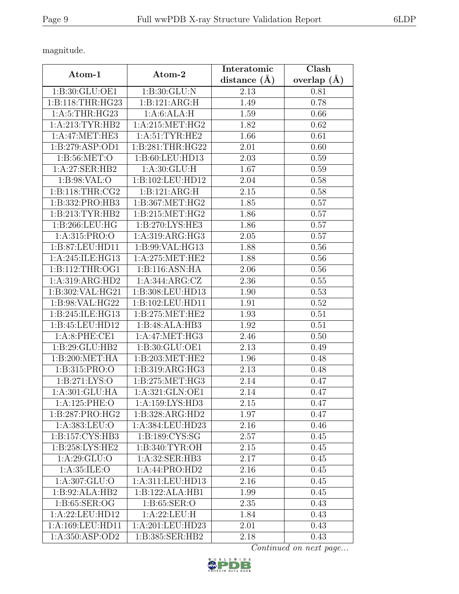magnitude.

|                                               | Atom-2                      | Interatomic    | Clash         |  |
|-----------------------------------------------|-----------------------------|----------------|---------------|--|
| Atom-1                                        |                             | distance $(A)$ | overlap $(A)$ |  |
| 1:B:30:GLU:OE1                                | 1:B:30:GLU:N                | 2.13           | 0.81          |  |
| 1:B:118:THR:HG23                              | 1:B:121:ARG:H               | 1.49           | 0.78          |  |
| 1:A:5:THR:HG23                                | 1:A:6:ALA:H                 | 1.59           | 0.66          |  |
| 1: A:213: TYR: HB2                            | 1: A:215: MET:HG2           | 1.82           | 0.62          |  |
| 1: A:47: MET:HE3                              | 1: A:51: TYR: HE2           | 1.66           | 0.61          |  |
| 1:B:279:ASP:OD1                               | 1:B:281:THR:HG22            | 2.01           | 0.60          |  |
| 1: B:56: MET:O                                | 1:B:60:LEU:HD13             | 2.03           | 0.59          |  |
| 1:A:27:SER:HB2                                | 1: A:30: GLU: H             | 1.67           | 0.59          |  |
| 1: B:98: VAL:O                                | 1:B:102:LEU:HD12            | 2.04           | 0.58          |  |
| 1: B:118: THR: CG2                            | 1:B:121:ARG:H               | 2.15           | 0.58          |  |
| 1:B:332:PRO:HB3                               | 1:B:367:MET:HG2             | 1.85           | 0.57          |  |
| 1:B:213:TYR:HB2                               | 1: B:215: MET:HG2           | 1.86           | 0.57          |  |
| 1: B:266:LEU:HG                               | 1:B:270:LYS:HE3             | 1.86           | 0.57          |  |
| 1:A:315:PRO:O                                 | 1:A:319:ARG:HG3             | 2.05           | 0.57          |  |
| 1:B:87:LEU:HD11                               | 1:B:99:VAL:HG13             | 1.88           | 0.56          |  |
| 1:A:245:ILE:HG13                              | 1: A:275:MET:HE2            | 1.88           | 0.56          |  |
| 1: B: 112: THR: OG1                           | 1:B:116:ASN:HA              | 2.06           | 0.56          |  |
| $1: A:319: \overline{ARG:H}D2$                | 1:A:344:ARG:CZ              | 2.36           | 0.55          |  |
| 1:B:302:VAL:HG21                              | 1:B:308:LEU:HD13            | 1.90           | 0.53          |  |
| 1:B:98:VAL:HG22                               | 1:B:102:LEU:HD11            | 1.91           | 0.52          |  |
| 1:B:245:ILE:HG13                              | 1: B: 275: MET: HE2         | 1.93           | 0.51          |  |
| 1:B:45:LEU:HD12                               | 1:B:48:ALA:HB3              | 1.92           | 0.51          |  |
| 1: A:8: PHE:CE1                               | 1: A:47: MET:HG3            | 2.46           | 0.50          |  |
| 1:B:29:GLU:HB2                                | 1:B:30:GLU:OE1              | 2.13           | 0.49          |  |
| $1:B:200:\overline{\mathrm{MET:H}\mathrm{A}}$ | 1: B:203:MET:HE2            | 1.96           | 0.48          |  |
| 1:B:315:PRO:O                                 | 1:B:319:ARG:HG3             | 2.13           | 0.48          |  |
| 1: B:271: LYS:O                               | 1:B:275:MET:HG3             | 2.14           | 0.47          |  |
| 1: A:301: GLU: HA                             | 1: A:321: GLN:OE1           | 2.14           | 0.47          |  |
| 1:A:125:PHE:O                                 | 1:A:159:LYS:HD3             | 2.15           | 0.47          |  |
| 1:B:287:PRO:HG2                               | 1:B:328:ARG:HD2             | 1.97           | 0.47          |  |
| 1:A:383:LEU:O                                 | 1:A:384:LEU:HD23            | 2.16           | 0.46          |  |
| 1:B:157:CYS:HB3                               | 1:B:189:CYS:SG              | 2.57           | 0.45          |  |
| 1:B:258:LYS:HE2                               | 1:B:340:TYR:OH              | 2.15           | 0.45          |  |
| 1: A:29: GLU:O                                | 1:A:32:SER:HB3              | 2.17           | 0.45          |  |
| 1: A:35: ILE: O                               | $1:A:44:PRO:H\overline{D2}$ | 2.16           | 0.45          |  |
| 1: A: 307: GLU:O                              | 1:A:311:LEU:HD13            | 2.16           | 0.45          |  |
| 1:B:92:ALA:HB2                                | 1:B:122:ALA:HB1             | 1.99           | 0.45          |  |
| 1:B:65:SER:OG                                 | 1: B:65: SER:O              | 2.35           | 0.43          |  |
| 1:A:22:LEU:HD12                               | 1:A:22:LEU:H                | 1.84           | 0.43          |  |
| 1:A:169:LEU:HD11                              | 1:A:201:LEU:HD23            | 2.01           | 0.43          |  |
| 1:A:350:ASP:OD2                               | 1:B:385:SER:HB2             | 2.18           | 0.43          |  |

Continued on next page...

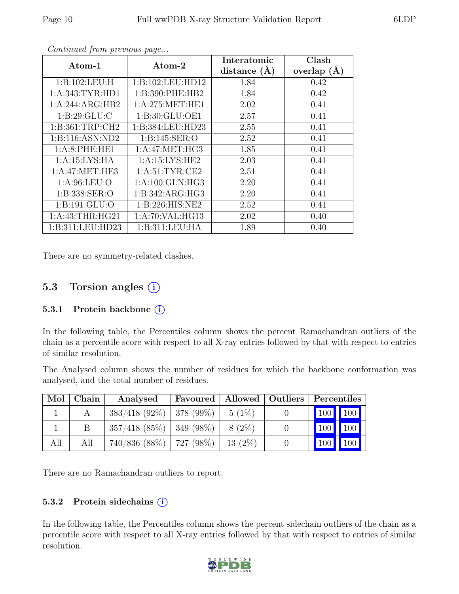| Atom-1              | $\rm{Atom}\text{-}2$ | Interatomic    | Clash           |
|---------------------|----------------------|----------------|-----------------|
|                     |                      | distance $(A)$ | overlap $(\AA)$ |
| 1:B:102:LEU:H       | 1:B:102:LEU:HD12     | 1.84           | 0.42            |
| 1: A: 343: TYR: HD1 | 1:B:390:PHE:HB2      | 1.84           | 0.42            |
| 1:A:244:ARG:HB2     | 1: A:275: MET:HE1    | 2.02           | 0.41            |
| 1: B:29: GLU: C     | 1:B:30:GLU:OE1       | 2.57           | 0.41            |
| 1: B:361:TRP:CH2    | 1:B:384:LEU:HD23     | 2.55           | 0.41            |
| 1:B:116:ASN:ND2     | 1: B:145: SER:O      | 2.52           | 0.41            |
| 1:A:8:PHE:HE1       | 1: A:47: MET:HG3     | 1.85           | 0.41            |
| 1: A:15:LYS:HA      | 1: A:15: LYS: HE2    | 2.03           | 0.41            |
| 1: A:47: MET:HE3    | 1: A:51: TYR: CE2    | 2.51           | 0.41            |
| 1: A:96: LEU:O      | 1: A:100: GLN: HG3   | 2.20           | 0.41            |
| 1:B:338:SER:O       | 1:B:342:ARG:HG3      | 2.20           | 0.41            |
| 1: B: 191: GLU:O    | 1: B:226: HIS: NE2   | 2.52           | 0.41            |
| 1: A: 43: THR: HG21 | 1:A:70:VAL:HG13      | 2.02           | 0.40            |
| 1:B:311:LEU:HD23    | 1:B:311:LEU:HA       | 1.89           | 0.40            |

Continued from previous page...

There are no symmetry-related clashes.

#### 5.3 Torsion angles  $(i)$

#### 5.3.1 Protein backbone  $(i)$

In the following table, the Percentiles column shows the percent Ramachandran outliers of the chain as a percentile score with respect to all X-ray entries followed by that with respect to entries of similar resolution.

The Analysed column shows the number of residues for which the backbone conformation was analysed, and the total number of residues.

| Mol | Chain | Analysed                      | Favoured   Allowed   Outliers   Percentiles |           |                                 |     |
|-----|-------|-------------------------------|---------------------------------------------|-----------|---------------------------------|-----|
|     |       | $383/418$ (92\%)   378 (99\%) |                                             | $5(1\%)$  | 100 100                         |     |
|     |       | $357/418$ (85\%)   349 (98\%) |                                             | $8(2\%)$  | $\vert$ 100 $\vert$ 100 $\vert$ |     |
| All | All   | $740/836$ (88\%)   727 (98\%) |                                             | $13(2\%)$ | $\vert 100 \vert \vert$         | 100 |

There are no Ramachandran outliers to report.

#### 5.3.2 Protein side chains  $(i)$

In the following table, the Percentiles column shows the percent sidechain outliers of the chain as a percentile score with respect to all X-ray entries followed by that with respect to entries of similar resolution.

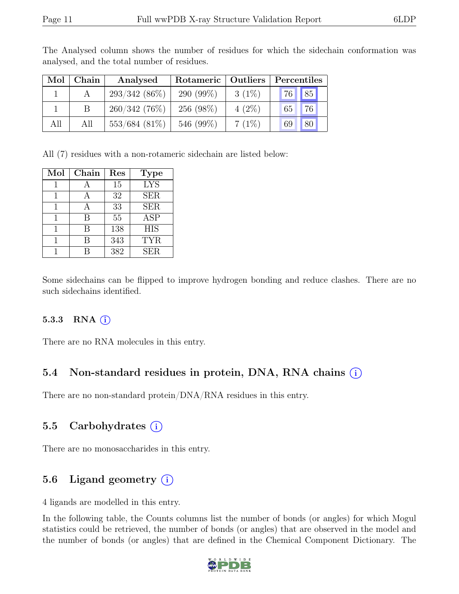| Mol | Chain        | Analysed        | Rotameric    | <b>Outliers</b> | Percentiles |  |  |
|-----|--------------|-----------------|--------------|-----------------|-------------|--|--|
|     |              | $293/342(86\%)$ | 290 $(99\%)$ | $3(1\%)$        | 76 85       |  |  |
|     | <sub>B</sub> | $260/342(76\%)$ | 256 (98%)    | $4(2\%)$        | 76<br>65    |  |  |
| All | All          | $553/684(81\%)$ | 546 (99%)    | 7(1%)           | 80<br>69    |  |  |

The Analysed column shows the number of residues for which the sidechain conformation was analysed, and the total number of residues.

All (7) residues with a non-rotameric sidechain are listed below:

| Mol | Chain | Res | <b>Type</b> |
|-----|-------|-----|-------------|
|     |       | 15  | <b>LYS</b>  |
|     |       | 32  | <b>SER</b>  |
|     |       | 33  | <b>SER</b>  |
|     | В     | 55  | <b>ASP</b>  |
|     | В     | 138 | <b>HIS</b>  |
|     | В     | 343 | <b>TYR</b>  |
|     | R     | 382 | <b>SER</b>  |

Some sidechains can be flipped to improve hydrogen bonding and reduce clashes. There are no such sidechains identified.

#### 5.3.3 RNA  $(i)$

There are no RNA molecules in this entry.

#### 5.4 Non-standard residues in protein, DNA, RNA chains (i)

There are no non-standard protein/DNA/RNA residues in this entry.

#### 5.5 Carbohydrates (i)

There are no monosaccharides in this entry.

#### 5.6 Ligand geometry  $(i)$

4 ligands are modelled in this entry.

In the following table, the Counts columns list the number of bonds (or angles) for which Mogul statistics could be retrieved, the number of bonds (or angles) that are observed in the model and the number of bonds (or angles) that are defined in the Chemical Component Dictionary. The

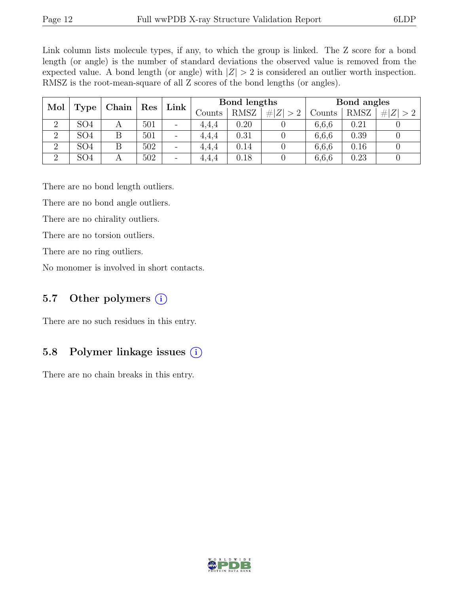Link column lists molecule types, if any, to which the group is linked. The Z score for a bond length (or angle) is the number of standard deviations the observed value is removed from the expected value. A bond length (or angle) with  $|Z| > 2$  is considered an outlier worth inspection. RMSZ is the root-mean-square of all Z scores of the bond lengths (or angles).

| Mol            | Chain           |   | $\parallel$ Res | Link                     | Bond lengths |             |             |        | Bond angles |                     |
|----------------|-----------------|---|-----------------|--------------------------|--------------|-------------|-------------|--------|-------------|---------------------|
|                | Type            |   |                 |                          | Counts       | <b>RMSZ</b> | # $ Z  > 2$ | Counts | <b>RMSZ</b> | Z <br>#<br>$\geq 2$ |
| റ              | SO4             | A | 501             | $\overline{\phantom{m}}$ | 4.4.4        | 0.20        |             | 6,6,6  | 0.21        |                     |
| $\overline{2}$ | SO <sub>4</sub> |   | 501             | $\overline{a}$           | 4,4,4        | 0.31        |             | 6,6,6  | 0.39        |                     |
| $\Omega$       | SO <sub>4</sub> |   | 502             | $\overline{\phantom{m}}$ | 4.4.4        | 0.14        |             | 6,6,6  | 0.16        |                     |
| $\overline{2}$ | SO4             | А | 502             | $\overline{\phantom{0}}$ | 4,4,4        | 0.18        |             | 6,6,6  | 0.23        |                     |

There are no bond length outliers.

There are no bond angle outliers.

There are no chirality outliers.

There are no torsion outliers.

There are no ring outliers.

No monomer is involved in short contacts.

#### 5.7 Other polymers  $(i)$

There are no such residues in this entry.

#### 5.8 Polymer linkage issues (i)

There are no chain breaks in this entry.

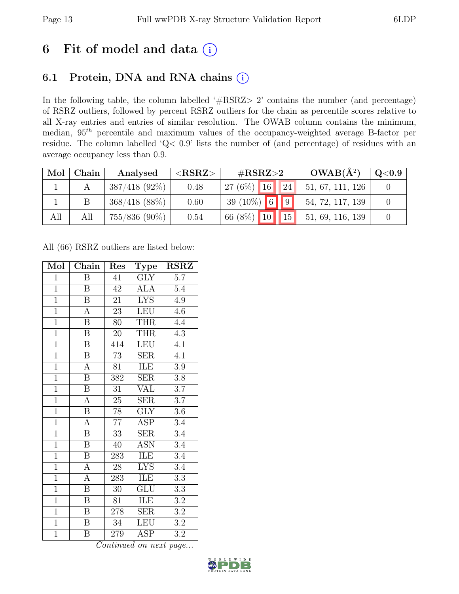### 6 Fit of model and data  $(i)$

### 6.1 Protein, DNA and RNA chains (i)

In the following table, the column labelled ' $\#\text{RSRZ}>2$ ' contains the number (and percentage) of RSRZ outliers, followed by percent RSRZ outliers for the chain as percentile scores relative to all X-ray entries and entries of similar resolution. The OWAB column contains the minimum, median,  $95<sup>th</sup>$  percentile and maximum values of the occupancy-weighted average B-factor per residue. The column labelled 'Q< 0.9' lists the number of (and percentage) of residues with an average occupancy less than 0.9.

| Mol | Chain | Analysed         | ${ <\hspace{-1.5pt} {\rm RSRZ}\hspace{-1.5pt}>}$ | $\#\text{RSRZ}\text{>2}$                        | $OWAB(A^2)$              | $\mathrm{Q}{<}0.9$ |
|-----|-------|------------------|--------------------------------------------------|-------------------------------------------------|--------------------------|--------------------|
|     |       | $387/418(92\%)$  | 0.48                                             | $27(6\%)$ 16<br> 24                             | 51, 67, 111, 126         |                    |
|     |       | $368/418$ (88\%) | 0.60                                             | 39 (10%) 6 9                                    | $\vert$ 54, 72, 117, 139 |                    |
| All | All   | $755/836$ (90%)  | 0.54                                             | $\parallel$ 10 $\parallel$<br>66 $(8\%)$<br> 15 | 51, 69, 116, 139         |                    |

All (66) RSRZ outliers are listed below:

| Mol            | Chain                   | Res             | <b>Type</b>             | <b>RSRZ</b>      |
|----------------|-------------------------|-----------------|-------------------------|------------------|
| $\mathbf{1}$   | Β                       | 41              | <b>GLY</b>              | 5.7              |
| $\mathbf{1}$   | Β                       | 42              | ALA                     | $5.4\,$          |
| $\overline{1}$ | $\overline{\mathrm{B}}$ | 21              | <b>LYS</b>              | 4.9              |
| $\overline{1}$ | $\boldsymbol{A}$        | 23              | LEU                     | 4.6              |
| $\overline{1}$ | $\overline{\mathrm{B}}$ | 80              | <b>THR</b>              | 4.4              |
| $\overline{1}$ | B                       | 20              | <b>THR</b>              | 4.3              |
| $\overline{1}$ | $\boldsymbol{B}$        | 414             | <b>LEU</b>              | 4.1              |
| $\overline{1}$ | $\overline{\mathbf{B}}$ | 73              | <b>SER</b>              | 4.1              |
| $\overline{1}$ | A                       | 81              | ILE                     | $3.9\,$          |
| $\overline{1}$ | $\overline{\mathrm{B}}$ | 382             | <b>SER</b>              | $\overline{3.8}$ |
| $\overline{1}$ | $\overline{B}$          | 31              | <b>VAL</b>              | 3.7              |
| $\overline{1}$ | $\overline{A}$          | $25\,$          | SER                     | $\overline{3.7}$ |
| $\overline{1}$ | $\overline{B}$          | 78              | <b>GLY</b>              | 3.6              |
| $\overline{1}$ | $\overline{A}$          | $\overline{77}$ | $\overline{\text{ASP}}$ | 3.4              |
| $\overline{1}$ | $\overline{\mathbf{B}}$ | $\overline{33}$ | $\overline{\text{SER}}$ | $\overline{3.4}$ |
| $\mathbf{1}$   | $\boldsymbol{B}$        | 40              | <b>ASN</b>              | 3.4              |
| $\overline{1}$ | $\overline{\mathrm{B}}$ | 283             | ILE                     | $\overline{3.4}$ |
| $\overline{1}$ | A                       | $28\,$          | <b>LYS</b>              | 3.4              |
| $\overline{1}$ | $\overline{A}$          | 283             | ILE                     | $\overline{3.3}$ |
| $\overline{1}$ | $\overline{\mathrm{B}}$ | $30\,$          | GLU                     | $\overline{3.3}$ |
| $\overline{1}$ | $\overline{B}$          | 81              | ILE                     | 3.2              |
| $\overline{1}$ | B                       | 278             | $\operatorname{SER}$    | $3.2\,$          |
| $\mathbf{1}$   | $\boldsymbol{B}$        | $34\,$          | <b>LEU</b>              | 3.2              |
| $\mathbf{1}$   | B                       | 279             | $\overline{\text{ASP}}$ | 3.2              |

Continued on next page...

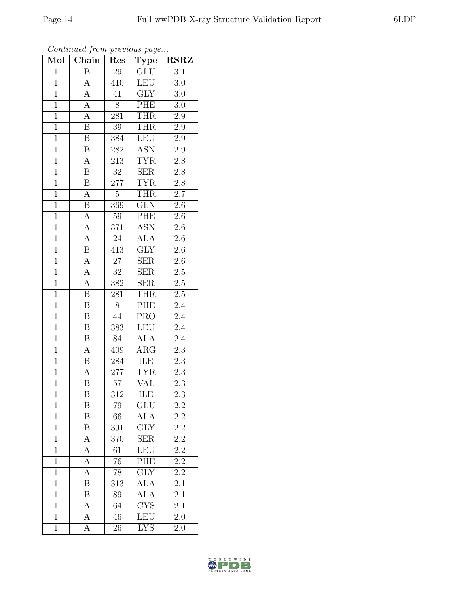| Mol            | $\boldsymbol{J}$<br>$\overline{\text{Chain}}$ | r.<br>Res        | $\mathbf{r} \sim$<br>$\mathrm{\bar{Ty}pe}$ | <b>RSRZ</b>      |
|----------------|-----------------------------------------------|------------------|--------------------------------------------|------------------|
| $\mathbf{1}$   | $\boldsymbol{B}$                              | 29               | GLU                                        | 3.1              |
| $\overline{1}$ | $\boldsymbol{A}$                              | 410              | <b>LEU</b>                                 | 3.0              |
| $\overline{1}$ | $\overline{A}$                                | 41               | $\overline{\text{GLY}}$                    | $3.0\,$          |
| $\overline{1}$ | $\boldsymbol{A}$                              | 8                | PHE                                        | $3.0\,$          |
| $\overline{1}$ | $\overline{A}$                                | $\overline{281}$ | <b>THR</b>                                 | $2.9\,$          |
| $\overline{1}$ | B                                             | $\overline{39}$  | <b>THR</b>                                 | $\overline{2.9}$ |
| $\overline{1}$ | B                                             | 384              | LEU                                        | $2.9\,$          |
| $\overline{1}$ | $\boldsymbol{B}$                              | 282              | <b>ASN</b>                                 | $\overline{2.9}$ |
| $\overline{1}$ | $\mathbf{A}$                                  | 213              | <b>TYR</b>                                 | 2.8              |
| $\overline{1}$ | $\overline{\mathrm{B}}$                       | $\overline{32}$  | SER                                        | 2.8              |
| $\mathbf{1}$   | $\overline{\text{B}}$                         | 277              | <b>TYR</b>                                 | $2.\overline{8}$ |
| $\overline{1}$ | $\boldsymbol{A}$                              | $\overline{5}$   | <b>THR</b>                                 | $\overline{2.7}$ |
| $\overline{1}$ | $\, {\bf B}$                                  | 369              | <b>GLN</b>                                 | $2.6\,$          |
| $\overline{1}$ | $\overline{A}$                                | 59               | <b>PHE</b>                                 | 2.6              |
| $\overline{1}$ | $\overline{A}$                                | 371              | $\overline{\text{ASN}}$                    | $\overline{2.6}$ |
| $\mathbf{1}$   | $\overline{A}$                                | $24\,$           | <b>ALA</b>                                 | $2.6\,$          |
| $\overline{1}$ | $\overline{\mathrm{B}}$                       | $4\overline{13}$ | $\overline{GIY}$                           | $\overline{2.6}$ |
| $\overline{1}$ | $\overline{A}$                                | 27               | <b>SER</b>                                 | 2.6              |
| $\overline{1}$ | $\overline{A}$                                | $\overline{32}$  | <b>SER</b>                                 | $\overline{2.5}$ |
| $\overline{1}$ | $\overline{A}$                                | 382              | <b>SER</b>                                 | $\overline{2.5}$ |
| $\mathbf{1}$   | $\overline{B}$                                | 281              | <b>THR</b>                                 | $\overline{2.5}$ |
| $\overline{1}$ | B                                             | 8                | PHE                                        | $\overline{2.4}$ |
| $\overline{1}$ | $\boldsymbol{B}$                              | 44               | <b>PRO</b>                                 | 2.4              |
| $\overline{1}$ | B                                             | $\overline{383}$ | <b>LEU</b>                                 | $\overline{2.4}$ |
| $\overline{1}$ | $\boldsymbol{B}$                              | 84               | <b>ALA</b>                                 | 2.4              |
| $\overline{1}$ | $\boldsymbol{A}$                              | 409              | ARG                                        | 2.3              |
| $\overline{1}$ | $\boldsymbol{B}$                              | 284              | ILE                                        | 2.3              |
| $\overline{1}$ | $\mathbf{A}$                                  | 277              | <b>TYR</b>                                 | 2.3              |
| $\overline{1}$ | $\overline{\mathrm{B}}$                       | $\overline{57}$  | $\overline{\text{VAL}}$                    | $\overline{2.3}$ |
| 1              | Β                                             | 312              | ILE                                        | 2.3              |
| $\mathbf{1}$   | $\, {\bf B}$                                  | 79               | <b>GLU</b>                                 | $2.2\,$          |
| $\mathbf{1}$   | $\boldsymbol{B}$                              | 66               | $\overline{ALA}$                           | $\overline{2.2}$ |
| $\mathbf 1$    | B                                             | 391              | <b>GLY</b>                                 | 2.2              |
| $\overline{1}$ | $\overline{A}$                                | 370              | $\overline{\text{SER}}$                    | $\overline{2.2}$ |
| $\mathbf{1}$   | $\boldsymbol{A}$                              | 61               | LEU                                        | 2.2              |
| $\mathbf{1}$   | $\overline{A}$                                | $7\overline{6}$  | $\overline{\text{PHE}}$                    | $\overline{2.2}$ |
| $\mathbf{1}$   | $\overline{A}$                                | 78               | <b>GLY</b>                                 | 2.2              |
| $\overline{1}$ | B                                             | $31\overline{3}$ | <b>ALA</b>                                 | $\overline{2.1}$ |
| $\mathbf{1}$   | B                                             | 89               | ALA                                        | 2.1              |
| $\mathbf 1$    | Ā                                             | 64               | $\overline{\text{C} \text{YS}}$            | 2.1              |
| $\mathbf{1}$   | $\boldsymbol{A}$                              | 46               | LEU                                        | $2.\overline{0}$ |
| $\mathbf{1}$   | A                                             | 26               | <b>LYS</b>                                 | 2.0              |

Continued from previous page...